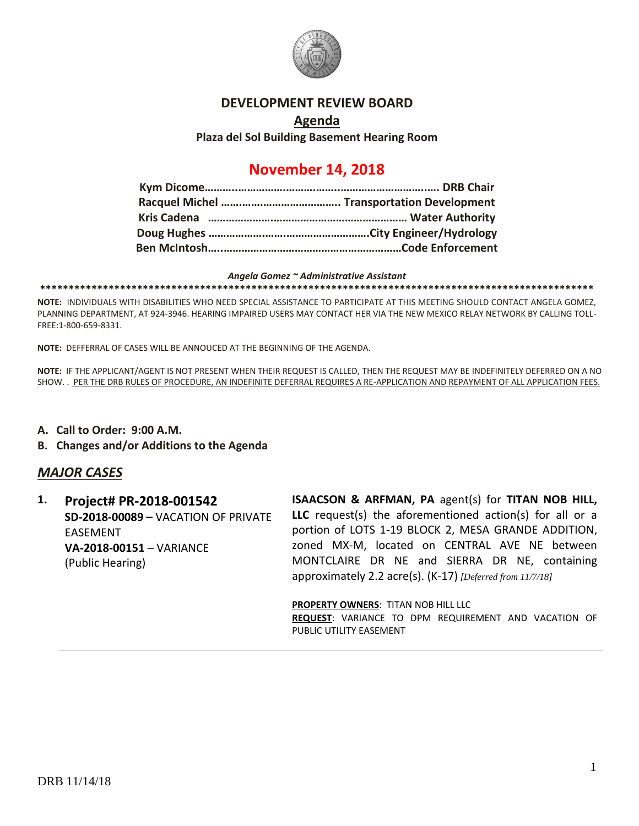

### **DEVELOPMENT REVIEW BOARD**

## **Agenda Plaza del Sol Building Basement Hearing Room**

# **November 14, 2018**

#### *Angela Gomez ~ Administrative Assistant*

**\*\*\*\*\*\*\*\*\*\*\*\*\*\*\*\*\*\*\*\*\*\*\*\*\*\*\*\*\*\*\*\*\*\*\*\*\*\*\*\*\*\*\*\*\*\*\*\*\*\*\*\*\*\*\*\*\*\*\*\*\*\*\*\*\*\*\*\*\*\*\*\*\*\*\*\*\*\*\*\*\*\*\*\*\*\*\*\*\*\*\*\*\*\*\*\*\***

**NOTE:** INDIVIDUALS WITH DISABILITIES WHO NEED SPECIAL ASSISTANCE TO PARTICIPATE AT THIS MEETING SHOULD CONTACT ANGELA GOMEZ, PLANNING DEPARTMENT, AT 924-3946. HEARING IMPAIRED USERS MAY CONTACT HER VIA THE NEW MEXICO RELAY NETWORK BY CALLING TOLL-FREE:1-800-659-8331.

**NOTE:** DEFFERRAL OF CASES WILL BE ANNOUCED AT THE BEGINNING OF THE AGENDA.

**NOTE:** IF THE APPLICANT/AGENT IS NOT PRESENT WHEN THEIR REQUEST IS CALLED, THEN THE REQUEST MAY BE INDEFINITELY DEFERRED ON A NO SHOW. . PER THE DRB RULES OF PROCEDURE, AN INDEFINITE DEFERRAL REQUIRES A RE-APPLICATION AND REPAYMENT OF ALL APPLICATION FEES.

- **A. Call to Order: 9:00 A.M.**
- **B. Changes and/or Additions to the Agenda**

## *MAJOR CASES*

**1. Project# PR-2018-001542 SD-2018-00089 –** VACATION OF PRIVATE EASEMENT **VA-2018-00151** – VARIANCE (Public Hearing)

**ISAACSON & ARFMAN, PA** agent(s) for **TITAN NOB HILL, LLC** request(s) the aforementioned action(s) for all or a portion of LOTS 1-19 BLOCK 2, MESA GRANDE ADDITION, zoned MX-M, located on CENTRAL AVE NE between MONTCLAIRE DR NE and SIERRA DR NE, containing approximately 2.2 acre(s). (K-17) *[Deferred from 11/7/18]*

**PROPERTY OWNERS**: TITAN NOB HILL LLC **REQUEST**: VARIANCE TO DPM REQUIREMENT AND VACATION OF PUBLIC UTILITY EASEMENT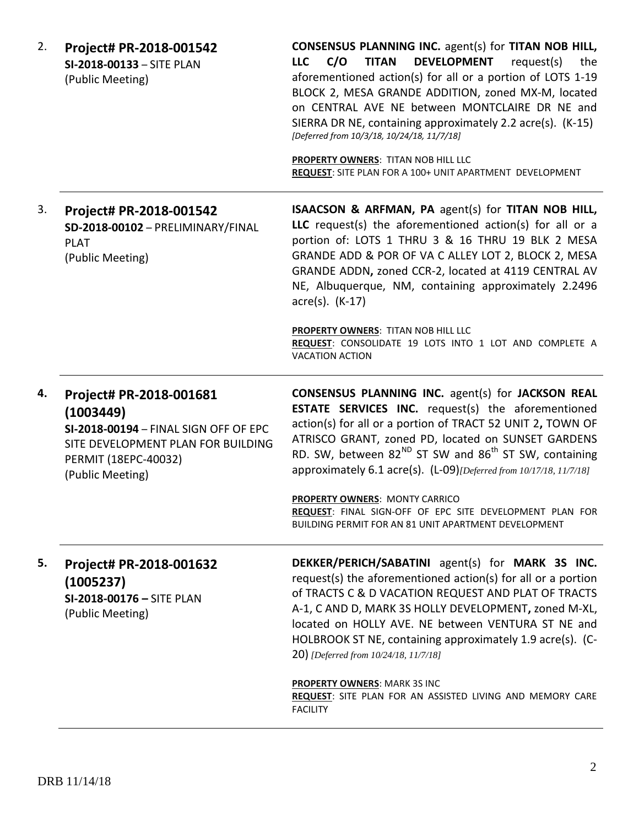| 2. | Project# PR-2018-001542<br>SI-2018-00133 - SITE PLAN<br>(Public Meeting)                                                                                        | <b>CONSENSUS PLANNING INC.</b> agent(s) for TITAN NOB HILL,<br><b>DEVELOPMENT</b><br>C/O<br><b>TITAN</b><br>request(s)<br><b>LLC</b><br>the<br>aforementioned action(s) for all or a portion of LOTS 1-19<br>BLOCK 2, MESA GRANDE ADDITION, zoned MX-M, located<br>on CENTRAL AVE NE between MONTCLAIRE DR NE and<br>SIERRA DR NE, containing approximately 2.2 acre(s). (K-15)<br>[Deferred from 10/3/18, 10/24/18, 11/7/18]<br>PROPERTY OWNERS: TITAN NOB HILL LLC<br>REQUEST: SITE PLAN FOR A 100+ UNIT APARTMENT DEVELOPMENT                        |
|----|-----------------------------------------------------------------------------------------------------------------------------------------------------------------|---------------------------------------------------------------------------------------------------------------------------------------------------------------------------------------------------------------------------------------------------------------------------------------------------------------------------------------------------------------------------------------------------------------------------------------------------------------------------------------------------------------------------------------------------------|
| 3. | Project# PR-2018-001542<br>SD-2018-00102 - PRELIMINARY/FINAL<br><b>PLAT</b><br>(Public Meeting)                                                                 | <b>ISAACSON &amp; ARFMAN, PA agent(s) for TITAN NOB HILL,</b><br>LLC request(s) the aforementioned action(s) for all or a<br>portion of: LOTS 1 THRU 3 & 16 THRU 19 BLK 2 MESA<br>GRANDE ADD & POR OF VA C ALLEY LOT 2, BLOCK 2, MESA<br>GRANDE ADDN, zoned CCR-2, located at 4119 CENTRAL AV<br>NE, Albuquerque, NM, containing approximately 2.2496<br>$\arccos(5)$ . (K-17)<br>PROPERTY OWNERS: TITAN NOB HILL LLC<br>REQUEST: CONSOLIDATE 19 LOTS INTO 1 LOT AND COMPLETE A<br><b>VACATION ACTION</b>                                               |
| 4. | Project# PR-2018-001681<br>(1003449)<br>SI-2018-00194 - FINAL SIGN OFF OF EPC<br>SITE DEVELOPMENT PLAN FOR BUILDING<br>PERMIT (18EPC-40032)<br>(Public Meeting) | <b>CONSENSUS PLANNING INC.</b> agent(s) for JACKSON REAL<br><b>ESTATE SERVICES INC.</b> request(s) the aforementioned<br>action(s) for all or a portion of TRACT 52 UNIT 2, TOWN OF<br>ATRISCO GRANT, zoned PD, located on SUNSET GARDENS<br>RD. SW, between $82^{ND}$ ST SW and $86^{th}$ ST SW, containing<br>approximately 6.1 acre(s). (L-09) [Deferred from 10/17/18, 11/7/18]<br><b>PROPERTY OWNERS: MONTY CARRICO</b><br>REQUEST: FINAL SIGN-OFF OF EPC SITE DEVELOPMENT PLAN FOR<br><b>BUILDING PERMIT FOR AN 81 UNIT APARTMENT DEVELOPMENT</b> |
| 5. | Project# PR-2018-001632                                                                                                                                         | DEKKER/PERICH/SABATINI agent(s) for MARK 3S INC.                                                                                                                                                                                                                                                                                                                                                                                                                                                                                                        |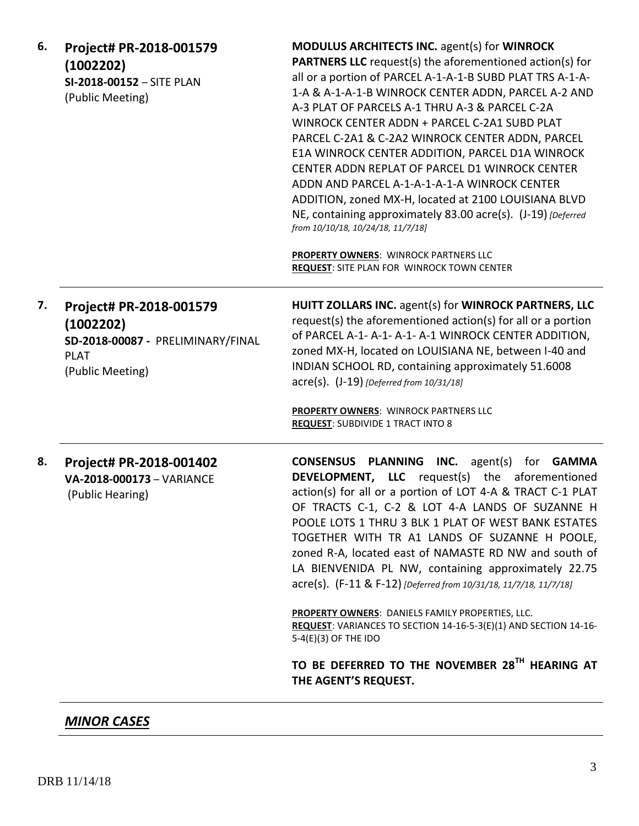| 6. | Project# PR-2018-001579<br>(1002202)<br>SI-2018-00152 - SITE PLAN<br>(Public Meeting)                        | <b>MODULUS ARCHITECTS INC. agent(s) for WINROCK</b><br><b>PARTNERS LLC</b> request(s) the aforementioned action(s) for<br>all or a portion of PARCEL A-1-A-1-B SUBD PLAT TRS A-1-A-<br>1-A & A-1-A-1-B WINROCK CENTER ADDN, PARCEL A-2 AND<br>A-3 PLAT OF PARCELS A-1 THRU A-3 & PARCEL C-2A<br>WINROCK CENTER ADDN + PARCEL C-2A1 SUBD PLAT<br>PARCEL C-2A1 & C-2A2 WINROCK CENTER ADDN, PARCEL<br>E1A WINROCK CENTER ADDITION, PARCEL D1A WINROCK<br>CENTER ADDN REPLAT OF PARCEL D1 WINROCK CENTER<br>ADDN AND PARCEL A-1-A-1-A-1-A WINROCK CENTER<br>ADDITION, zoned MX-H, located at 2100 LOUISIANA BLVD<br>NE, containing approximately 83.00 acre(s). (J-19) [Deferred<br>from 10/10/18, 10/24/18, 11/7/18]<br><b>PROPERTY OWNERS: WINROCK PARTNERS LLC</b> |
|----|--------------------------------------------------------------------------------------------------------------|--------------------------------------------------------------------------------------------------------------------------------------------------------------------------------------------------------------------------------------------------------------------------------------------------------------------------------------------------------------------------------------------------------------------------------------------------------------------------------------------------------------------------------------------------------------------------------------------------------------------------------------------------------------------------------------------------------------------------------------------------------------------|
|    |                                                                                                              | <b>REQUEST: SITE PLAN FOR WINROCK TOWN CENTER</b>                                                                                                                                                                                                                                                                                                                                                                                                                                                                                                                                                                                                                                                                                                                  |
| 7. | Project# PR-2018-001579<br>(1002202)<br>SD-2018-00087 - PRELIMINARY/FINAL<br><b>PLAT</b><br>(Public Meeting) | HUITT ZOLLARS INC. agent(s) for WINROCK PARTNERS, LLC<br>request(s) the aforementioned action(s) for all or a portion<br>of PARCEL A-1- A-1- A-1- A-1 WINROCK CENTER ADDITION,<br>zoned MX-H, located on LOUISIANA NE, between I-40 and<br>INDIAN SCHOOL RD, containing approximately 51.6008<br>acre(s). (J-19) [Deferred from 10/31/18]<br><b>PROPERTY OWNERS: WINROCK PARTNERS LLC</b><br><b>REQUEST: SUBDIVIDE 1 TRACT INTO 8</b>                                                                                                                                                                                                                                                                                                                              |
| 8. | Project# PR-2018-001402<br>VA-2018-000173 - VARIANCE<br>(Public Hearing)                                     | CONSENSUS PLANNING INC.<br>$agent(s)$ for<br><b>GAMMA</b><br><b>DEVELOPMENT, LLC</b> request(s) the aforementioned<br>action(s) for all or a portion of LOT 4-A & TRACT C-1 PLAT<br>OF TRACTS C-1, C-2 & LOT 4-A LANDS OF SUZANNE H<br>POOLE LOTS 1 THRU 3 BLK 1 PLAT OF WEST BANK ESTATES<br>TOGETHER WITH TR A1 LANDS OF SUZANNE H POOLE,<br>zoned R-A, located east of NAMASTE RD NW and south of<br>LA BIENVENIDA PL NW, containing approximately 22.75<br>acre(s). (F-11 & F-12) [Deferred from 10/31/18, 11/7/18, 11/7/18]<br><b>PROPERTY OWNERS: DANIELS FAMILY PROPERTIES, LLC.</b>                                                                                                                                                                        |
|    |                                                                                                              | REQUEST: VARIANCES TO SECTION 14-16-5-3(E)(1) AND SECTION 14-16-<br>5-4(E)(3) OF THE IDO                                                                                                                                                                                                                                                                                                                                                                                                                                                                                                                                                                                                                                                                           |
|    |                                                                                                              | TO BE DEFERRED TO THE NOVEMBER 28TH HEARING AT<br>THE AGENT'S REQUEST.                                                                                                                                                                                                                                                                                                                                                                                                                                                                                                                                                                                                                                                                                             |

*MINOR CASES*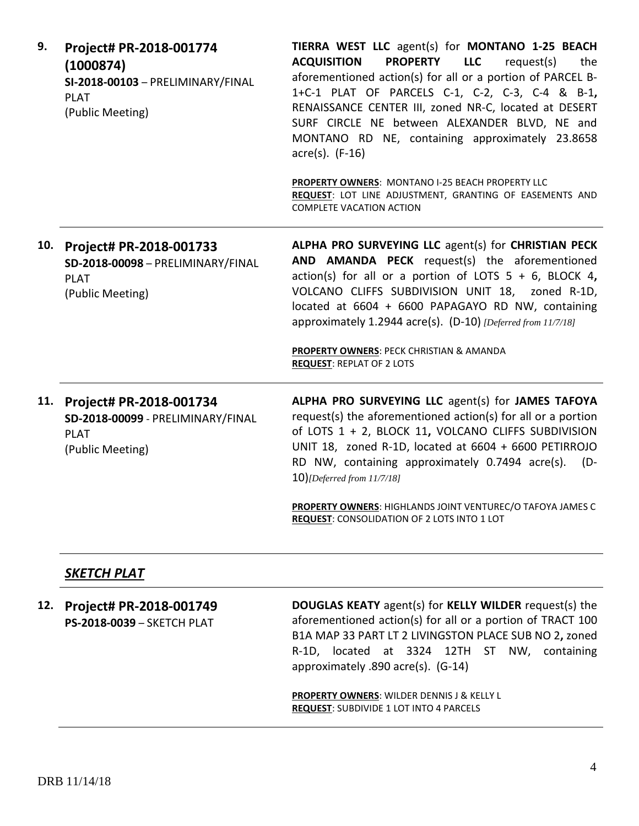| 9.  | Project# PR-2018-001774<br>(1000874)<br>SI-2018-00103 - PRELIMINARY/FINAL<br><b>PLAT</b><br>(Public Meeting) | TIERRA WEST LLC agent(s) for MONTANO 1-25 BEACH<br><b>PROPERTY</b><br><b>LLC</b><br>request(s)<br><b>ACQUISITION</b><br>the<br>aforementioned action(s) for all or a portion of PARCEL B-<br>1+C-1 PLAT OF PARCELS C-1, C-2, C-3, C-4 & B-1,<br>RENAISSANCE CENTER III, zoned NR-C, located at DESERT<br>SURF CIRCLE NE between ALEXANDER BLVD, NE and<br>MONTANO RD NE, containing approximately 23.8658<br>$\arccos(5)$ . (F-16)<br>PROPERTY OWNERS: MONTANO I-25 BEACH PROPERTY LLC<br>REQUEST: LOT LINE ADJUSTMENT, GRANTING OF EASEMENTS AND<br><b>COMPLETE VACATION ACTION</b> |
|-----|--------------------------------------------------------------------------------------------------------------|--------------------------------------------------------------------------------------------------------------------------------------------------------------------------------------------------------------------------------------------------------------------------------------------------------------------------------------------------------------------------------------------------------------------------------------------------------------------------------------------------------------------------------------------------------------------------------------|
|     |                                                                                                              |                                                                                                                                                                                                                                                                                                                                                                                                                                                                                                                                                                                      |
| 10. | Project# PR-2018-001733<br>SD-2018-00098 - PRELIMINARY/FINAL<br><b>PLAT</b><br>(Public Meeting)              | ALPHA PRO SURVEYING LLC agent(s) for CHRISTIAN PECK<br>AND AMANDA PECK request(s) the aforementioned<br>action(s) for all or a portion of LOTS $5 + 6$ , BLOCK 4,<br>VOLCANO CLIFFS SUBDIVISION UNIT 18, zoned R-1D,<br>located at 6604 + 6600 PAPAGAYO RD NW, containing<br>approximately 1.2944 acre(s). (D-10) [Deferred from 11/7/18]                                                                                                                                                                                                                                            |
|     |                                                                                                              | <b>PROPERTY OWNERS: PECK CHRISTIAN &amp; AMANDA</b><br><b>REQUEST: REPLAT OF 2 LOTS</b>                                                                                                                                                                                                                                                                                                                                                                                                                                                                                              |
| 11. | Project# PR-2018-001734<br>SD-2018-00099 - PRELIMINARY/FINAL<br><b>PLAT</b><br>(Public Meeting)              | ALPHA PRO SURVEYING LLC agent(s) for JAMES TAFOYA<br>request(s) the aforementioned action(s) for all or a portion<br>of LOTS 1 + 2, BLOCK 11, VOLCANO CLIFFS SUBDIVISION<br>UNIT 18, zoned R-1D, located at 6604 + 6600 PETIRROJO<br>RD NW, containing approximately 0.7494 acre(s).<br>$(D -$<br>10)[Deferred from 11/7/18]                                                                                                                                                                                                                                                         |
|     |                                                                                                              | PROPERTY OWNERS: HIGHLANDS JOINT VENTUREC/O TAFOYA JAMES C<br>REQUEST: CONSOLIDATION OF 2 LOTS INTO 1 LOT                                                                                                                                                                                                                                                                                                                                                                                                                                                                            |
|     |                                                                                                              |                                                                                                                                                                                                                                                                                                                                                                                                                                                                                                                                                                                      |
|     | <b>SKETCH PLAT</b>                                                                                           |                                                                                                                                                                                                                                                                                                                                                                                                                                                                                                                                                                                      |

| 12. | Project# PR-2018-001749<br>PS-2018-0039 - SKETCH PLAT | DOUGLAS KEATY agent(s) for KELLY WILDER request(s) the<br>aforementioned action(s) for all or a portion of TRACT 100<br>B1A MAP 33 PART LT 2 LIVINGSTON PLACE SUB NO 2, zoned<br>located at 3324 12TH ST NW, containing<br>R-1D.<br>approximately .890 acre(s). (G-14) |
|-----|-------------------------------------------------------|------------------------------------------------------------------------------------------------------------------------------------------------------------------------------------------------------------------------------------------------------------------------|
|     |                                                       | <b>PROPERTY OWNERS: WILDER DENNIS J &amp; KELLY L</b><br><b>REQUEST: SUBDIVIDE 1 LOT INTO 4 PARCELS</b>                                                                                                                                                                |